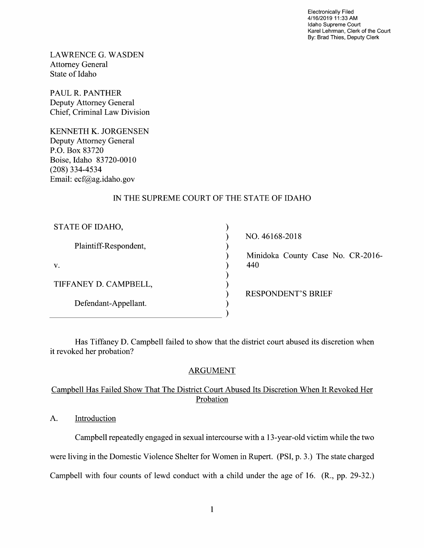Electronically Filed 4/16/2019 11:33 AM Idaho Supreme Court Karel Lehrman, Clerk of the Court By: Brad Thies, Deputy Clerk

LAWRENCE G.WASDEN Attorney General State 0f Idaho

PAUL R. PANTHER Deputy Attorney General Chief, Criminal Law Division

KENNETH K. JORGENSEN Deputy Attorney General P.O. BOX 83720 Boise, Idaho 83720-0010 (208) 334-4534 Email: ecf@ag.idaho.gov

# IN THE SUPREME COURT OF THE STATE OF IDAHO

| STATE OF IDAHO,       |
|-----------------------|
| Plaintiff-Respondent, |
| V.                    |
| TIFFANEY D. CAMPBELL, |
| Defendant-Appellant.  |

NO. 46168-2018 Minidoka County Case No. CR-2016- 440

RESPONDENT'S BRIEF

Has Tiffaney D. Campbell failed to show that the district court abused its discretion when it revoked her probation?

vvvvvvvvvv

 $\mathcal{E}$ 

 $\mathcal{E}$  $\mathcal{E}$  $\mathcal{E}$ ſ

# ARGUMENT

# Campbell Has Failed Show That The District Court Abused Its Discretion When It Revoked Her Probation

A. Introduction

Campbell repeatedly engaged in sexual intercourse with a 13-year-old victim while the two were living in the Domestic Violence Shelter for Women in Rupert. (PSI, p. 3.) The state charged Campbell with four counts of lewd conduct with a child under the age of 16. (R., pp. 29-32.)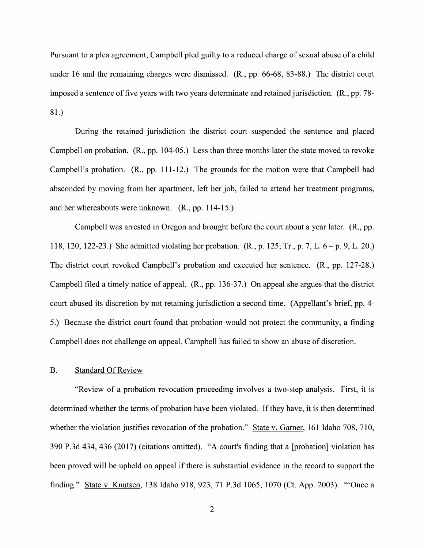Pursuant to a plea agreement, Campbell pled guilty to a reduced charge of sexual abuse of a child under 16 and the remaining charges were dismissed. (R., pp. 66-68, 83-88.) The district court imposed sentence 0f five years with two years determinate and retained jurisdiction. (R., pp. 78- 81.)

During the retained jurisdiction the district court suspended the sentence and placed Campbell on probation. (R., pp. 104-05.) Less than three months later the state moved to revoke Campbell's probation. (R., pp. 111-12.) The grounds for the motion were that Campbell had absconded by moving from her apartment, left her job, failed to attend her treatment programs, and her whereabouts were unknown. (R., pp. 114-15.)

Campbell was arrested in Oregon and brought before the court about a year later.  $(R., pp.$ 118, 120, 122-23.) She admitted violating her probation.  $(R_1, p. 125; Tr_1, p. 7, L. 6 - p. 9, L. 20)$ The district court revoked Campbell's probation and executed her sentence. (R., pp. 127-28.) Campbell filed a timely notice of appeal. (R., pp. 136-37.) On appeal she argues that the district court abused its discretion by not retaining jurisdiction a second time. (Appellant's brief, pp. 4-5.) Because the district court found that probation would not protect the community, a finding Campbell does not challenge 0n appeal, Campbell has failed to show an abuse of discretion.

### B. Standard Of Review

"Review of a probation revocation proceeding involves a two-step analysis. First, it is determined Whether the terms of probation have been violated. If they have, it is then determined whether the violation justifies revocation of the probation." State v. Garner, 161 Idaho 708, 710, 390 P.3d 434, 436 (2017) (citations omitted). "A court's finding that a [probation] violation has been proved Will be upheld on appeal if there is substantial evidence in the record to support the finding." State v. Knutsen, 138 Idaho 918, 923, 71 P.3d 1065, 1070 (Ct. App. 2003). "'Once a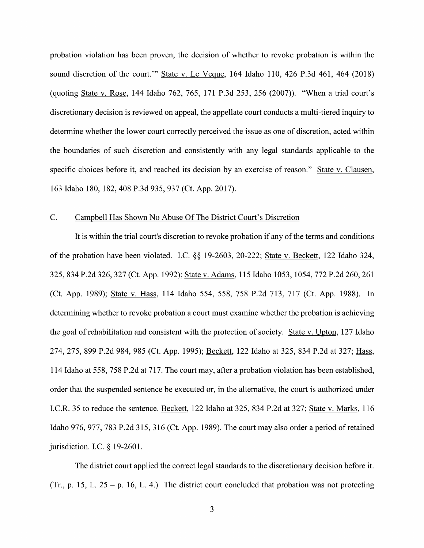probation Violation has been proven, the decision of whether to revoke probation is within the sound discretion of the court." State v. Le Veque, 164 Idaho 110, 426 P.3d 461, 464 (2018) (quoting State v. Rose, 144 Idaho 762, 765, 171 P.3d 253, 256 (2007)). "When a trial court's discretionary decision is reviewed on appeal, the appellate court conducts a multi-tiered inquiry to determine whether the lower court correctly perceived the issue as one of discretion, acted within the boundaries of such discretion and consistently with any legal standards applicable to the specific choices before it, and reached its decision by an exercise of reason." State v. Clausen, 163 Idaho 180, 182, 408 P.3d 935, 937 (Ct. App. 2017).

### C. Campbell Has Shown N0 Abuse Of The District Court's Discretion

It is within the trial court's discretion to revoke probation if any of the terms and conditions 0f the probation have been violated. LC. §§ 19-2603, 20-222; State V. Beckett, 122 Idaho 324, 325, 834 P.2d 326, 327 (Ct. App. 1992); State V. Adams, 115 Idaho 1053, 1054, 772 P.2d 260, 261 (Ct. App. 1989); State V. Hass, 114 Idaho 554, 558, 758 P.2d 713, 717 (Ct. App. 1988). In determining whether to revoke probation a court must examine whether the probation is achieving the goal of rehabilitation and consistent with the protection of society. State v. Upton, 127 Idaho 274, 275, 899 P.2d 984, 985 (Ct. App. 1995); Beckett, 122 Idaho at 325, 834 P.2d at 327; Hass, 114 Idaho at 558, 758 P.2d at 717. The court may, after a probation violation has been established, order that the suspended sentence be executed or, in the alternative, the court is authorized under I.C.R. 35 to reduce the sentence. Beckett, 122 Idaho at 325, 834 P.2d at 327; State v. Marks, 116 Idaho 976, 977, 783 P.2d 315, 316 (Ct. App. 1989). The court may also order a period of retained jurisdiction. I.C.  $\S$  19-2601.

The district court applied the correct legal standards to the discretionary decision before it. (Tr., p. 15, L. 25 – p. 16, L. 4.) The district court concluded that probation was not protecting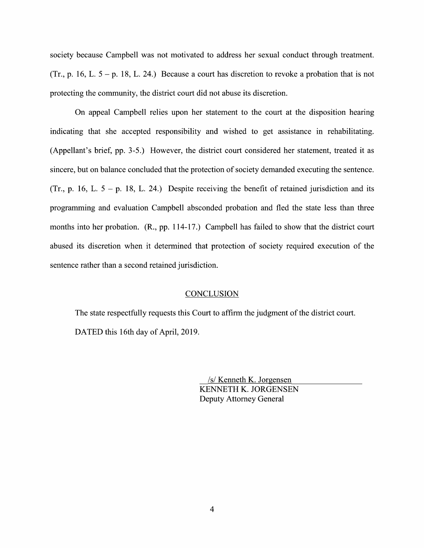society because Campbell was not motivated to address her sexual conduct through treatment. (Tr., p. 16, L.  $5 - p$ . 18, L. 24.) Because a court has discretion to revoke a probation that is not protecting the community, the district court did not abuse its discretion.

On appeal Campbell relies upon her statement to the court at the disposition hearing indicating that she accepted responsibility and wished to get assistance in rehabilitating. (Appellant's brief, pp. 3-5.) However, the district court considered her statement, treated it as sincere, but on balance concluded that the protection of society demanded executing the sentence. (Tr., p. 16, L.  $5 - p$ . 18, L. 24.) Despite receiving the benefit of retained jurisdiction and its programming and evaluation Campbell absconded probation and fled the state less than three months into her probation. (R., pp. 114-17.) Campbell has failed to show that the district court abused its discretion when it determined that protection of society required execution 0f the sentence rather than a second retained jurisdiction.

#### **CONCLUSION**

The state respectfully requests this Court to affirm the judgment of the district court. DATED this 16th day of April, 2019.

> \_/s/ Kenneth K. Jorgensen KENNETH K. JORGENSEN Deputy Attorney General